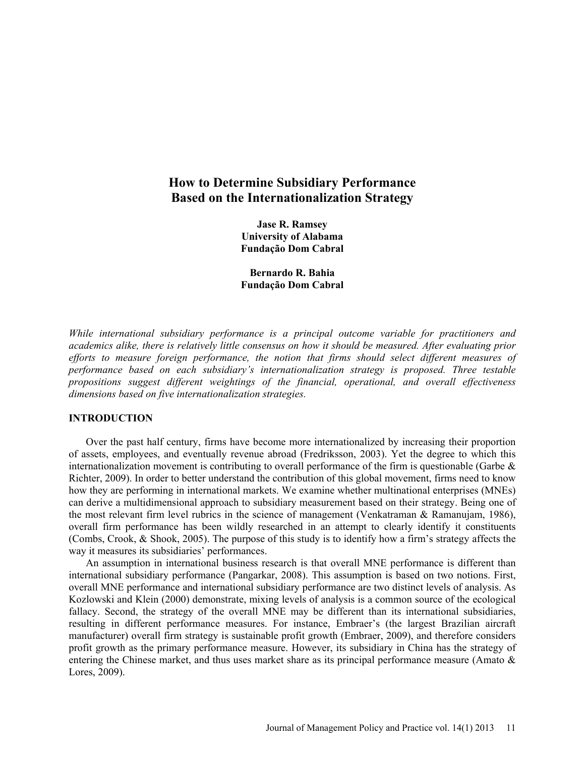# **How to Determine Subsidiary Performance Based on the Internationalization Strategy**

**Jase R. Ramsey University of Alabama Fundação Dom Cabral** 

**Bernardo R. Bahia Fundação Dom Cabral** 

*While international subsidiary performance is a principal outcome variable for practitioners and academics alike, there is relatively little consensus on how it should be measured. After evaluating prior efforts to measure foreign performance, the notion that firms should select different measures of performance based on each subsidiary's internationalization strategy is proposed. Three testable propositions suggest different weightings of the financial, operational, and overall effectiveness dimensions based on five internationalization strategies.* 

# **INTRODUCTION**

Over the past half century, firms have become more internationalized by increasing their proportion of assets, employees, and eventually revenue abroad (Fredriksson, 2003). Yet the degree to which this internationalization movement is contributing to overall performance of the firm is questionable (Garbe  $\&$ Richter, 2009). In order to better understand the contribution of this global movement, firms need to know how they are performing in international markets. We examine whether multinational enterprises (MNEs) can derive a multidimensional approach to subsidiary measurement based on their strategy. Being one of the most relevant firm level rubrics in the science of management (Venkatraman & Ramanujam, 1986), overall firm performance has been wildly researched in an attempt to clearly identify it constituents (Combs, Crook, & Shook, 2005). The purpose of this study is to identify how a firm's strategy affects the way it measures its subsidiaries' performances.

An assumption in international business research is that overall MNE performance is different than international subsidiary performance (Pangarkar, 2008). This assumption is based on two notions. First, overall MNE performance and international subsidiary performance are two distinct levels of analysis. As Kozlowski and Klein (2000) demonstrate, mixing levels of analysis is a common source of the ecological fallacy. Second, the strategy of the overall MNE may be different than its international subsidiaries, resulting in different performance measures. For instance, Embraer's (the largest Brazilian aircraft manufacturer) overall firm strategy is sustainable profit growth (Embraer, 2009), and therefore considers profit growth as the primary performance measure. However, its subsidiary in China has the strategy of entering the Chinese market, and thus uses market share as its principal performance measure (Amato & Lores, 2009).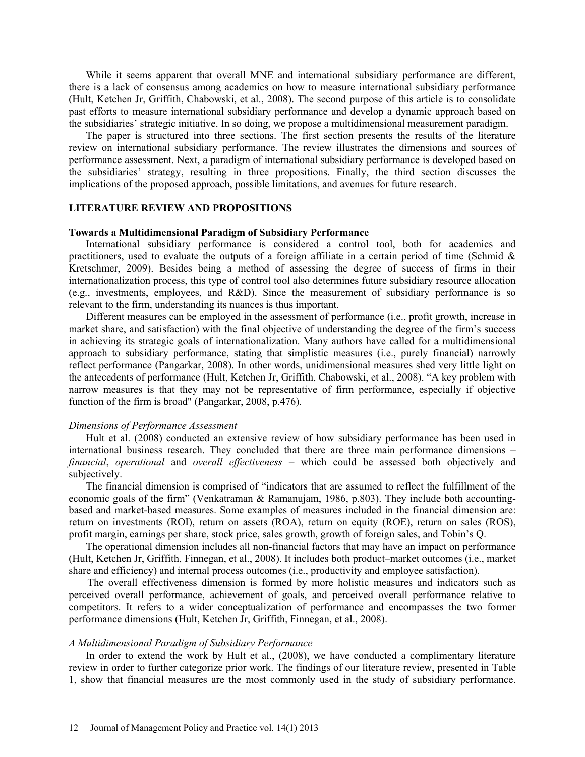While it seems apparent that overall MNE and international subsidiary performance are different, there is a lack of consensus among academics on how to measure international subsidiary performance (Hult, Ketchen Jr, Griffith, Chabowski, et al., 2008). The second purpose of this article is to consolidate past efforts to measure international subsidiary performance and develop a dynamic approach based on the subsidiaries' strategic initiative. In so doing, we propose a multidimensional measurement paradigm.

The paper is structured into three sections. The first section presents the results of the literature review on international subsidiary performance. The review illustrates the dimensions and sources of performance assessment. Next, a paradigm of international subsidiary performance is developed based on the subsidiaries' strategy, resulting in three propositions. Finally, the third section discusses the implications of the proposed approach, possible limitations, and avenues for future research.

# **LITERATURE REVIEW AND PROPOSITIONS**

# **Towards a Multidimensional Paradigm of Subsidiary Performance**

International subsidiary performance is considered a control tool, both for academics and practitioners, used to evaluate the outputs of a foreign affiliate in a certain period of time (Schmid  $\&$ Kretschmer, 2009). Besides being a method of assessing the degree of success of firms in their internationalization process, this type of control tool also determines future subsidiary resource allocation (e.g., investments, employees, and R&D). Since the measurement of subsidiary performance is so relevant to the firm, understanding its nuances is thus important.

Different measures can be employed in the assessment of performance (i.e., profit growth, increase in market share, and satisfaction) with the final objective of understanding the degree of the firm's success in achieving its strategic goals of internationalization. Many authors have called for a multidimensional approach to subsidiary performance, stating that simplistic measures (i.e., purely financial) narrowly reflect performance (Pangarkar, 2008). In other words, unidimensional measures shed very little light on the antecedents of performance (Hult, Ketchen Jr, Griffith, Chabowski, et al., 2008). "A key problem with narrow measures is that they may not be representative of firm performance, especially if objective function of the firm is broad" (Pangarkar, 2008, p.476).

#### *Dimensions of Performance Assessment*

Hult et al. (2008) conducted an extensive review of how subsidiary performance has been used in international business research. They concluded that there are three main performance dimensions – *financial*, *operational* and *overall effectiveness* – which could be assessed both objectively and subjectively.

The financial dimension is comprised of "indicators that are assumed to reflect the fulfillment of the economic goals of the firm" (Venkatraman & Ramanujam, 1986, p.803). They include both accountingbased and market-based measures. Some examples of measures included in the financial dimension are: return on investments (ROI), return on assets (ROA), return on equity (ROE), return on sales (ROS), profit margin, earnings per share, stock price, sales growth, growth of foreign sales, and Tobin's Q.

The operational dimension includes all non-financial factors that may have an impact on performance (Hult, Ketchen Jr, Griffith, Finnegan, et al., 2008). It includes both product–market outcomes (i.e., market share and efficiency) and internal process outcomes (i.e., productivity and employee satisfaction).

The overall effectiveness dimension is formed by more holistic measures and indicators such as perceived overall performance, achievement of goals, and perceived overall performance relative to competitors. It refers to a wider conceptualization of performance and encompasses the two former performance dimensions (Hult, Ketchen Jr, Griffith, Finnegan, et al., 2008).

# *A Multidimensional Paradigm of Subsidiary Performance*

In order to extend the work by Hult et al., (2008), we have conducted a complimentary literature review in order to further categorize prior work. The findings of our literature review, presented in Table 1, show that financial measures are the most commonly used in the study of subsidiary performance.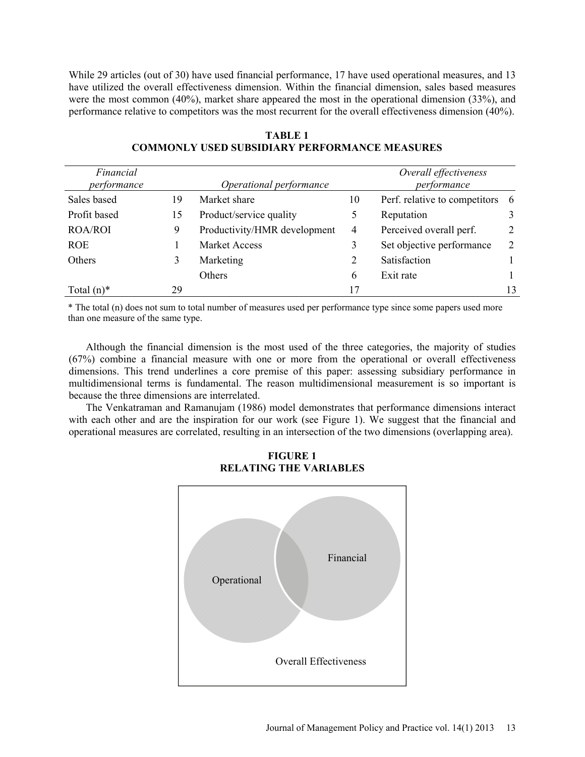While 29 articles (out of 30) have used financial performance, 17 have used operational measures, and 13 have utilized the overall effectiveness dimension. Within the financial dimension, sales based measures were the most common (40%), market share appeared the most in the operational dimension (33%), and performance relative to competitors was the most recurrent for the overall effectiveness dimension (40%).

| Financial<br>performance |    | Operational performance      | Overall effectiveness<br>performance |                               |                |  |
|--------------------------|----|------------------------------|--------------------------------------|-------------------------------|----------------|--|
| Sales based              | 19 | Market share                 | 10                                   | Perf. relative to competitors | -6             |  |
| Profit based             | 15 | Product/service quality      | 5                                    | Reputation                    |                |  |
| <b>ROA/ROI</b>           | 9  | Productivity/HMR development | 4                                    | Perceived overall perf.       | 2              |  |
| <b>ROE</b>               |    | Market Access                | 3                                    | Set objective performance     | $\overline{2}$ |  |
| Others                   | 3  | Marketing                    | 2                                    | Satisfaction                  |                |  |
|                          |    | Others                       | 6                                    | Exit rate                     |                |  |
| Total $(n)^*$            | 29 |                              | 17                                   |                               | 13             |  |

**TABLE 1 COMMONLY USED SUBSIDIARY PERFORMANCE MEASURES** 

\* The total (n) does not sum to total number of measures used per performance type since some papers used more than one measure of the same type.

Although the financial dimension is the most used of the three categories, the majority of studies (67%) combine a financial measure with one or more from the operational or overall effectiveness dimensions. This trend underlines a core premise of this paper: assessing subsidiary performance in multidimensional terms is fundamental. The reason multidimensional measurement is so important is because the three dimensions are interrelated.

The Venkatraman and Ramanujam (1986) model demonstrates that performance dimensions interact with each other and are the inspiration for our work (see Figure 1). We suggest that the financial and operational measures are correlated, resulting in an intersection of the two dimensions (overlapping area).



**FIGURE 1 RELATING THE VARIABLES**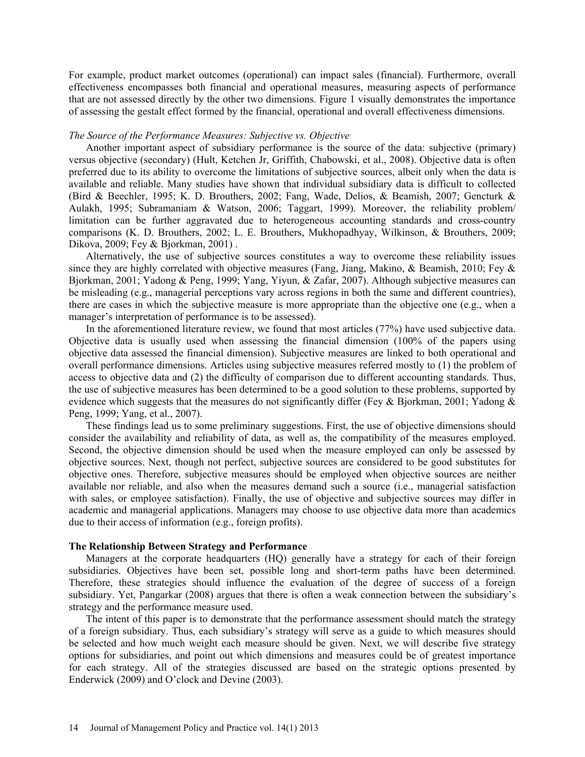For example, product market outcomes (operational) can impact sales (financial). Furthermore, overall effectiveness encompasses both financial and operational measures, measuring aspects of performance that are not assessed directly by the other two dimensions. Figure 1 visually demonstrates the importance of assessing the gestalt effect formed by the financial, operational and overall effectiveness dimensions.

### *The Source of the Performance Measures: Subjective vs. Objective*

Another important aspect of subsidiary performance is the source of the data: subjective (primary) versus objective (secondary) (Hult, Ketchen Jr, Griffith, Chabowski, et al., 2008). Objective data is often preferred due to its ability to overcome the limitations of subjective sources, albeit only when the data is available and reliable. Many studies have shown that individual subsidiary data is difficult to collected (Bird & Beechler, 1995; K. D. Brouthers, 2002; Fang, Wade, Delios, & Beamish, 2007; Gencturk & Aulakh, 1995; Subramaniam & Watson, 2006; Taggart, 1999). Moreover, the reliability problem/ limitation can be further aggravated due to heterogeneous accounting standards and cross-country comparisons (K. D. Brouthers, 2002; L. E. Brouthers, Mukhopadhyay, Wilkinson, & Brouthers, 2009; Dikova, 2009; Fey & Bjorkman, 2001) .

Alternatively, the use of subjective sources constitutes a way to overcome these reliability issues since they are highly correlated with objective measures (Fang, Jiang, Makino, & Beamish, 2010; Fey & Bjorkman, 2001; Yadong & Peng, 1999; Yang, Yiyun, & Zafar, 2007). Although subjective measures can be misleading (e.g., managerial perceptions vary across regions in both the same and different countries), there are cases in which the subjective measure is more appropriate than the objective one (e.g., when a manager's interpretation of performance is to be assessed).

In the aforementioned literature review, we found that most articles (77%) have used subjective data. Objective data is usually used when assessing the financial dimension (100% of the papers using objective data assessed the financial dimension). Subjective measures are linked to both operational and overall performance dimensions. Articles using subjective measures referred mostly to (1) the problem of access to objective data and (2) the difficulty of comparison due to different accounting standards. Thus, the use of subjective measures has been determined to be a good solution to these problems, supported by evidence which suggests that the measures do not significantly differ (Fey & Bjorkman, 2001; Yadong & Peng, 1999; Yang, et al., 2007).

These findings lead us to some preliminary suggestions. First, the use of objective dimensions should consider the availability and reliability of data, as well as, the compatibility of the measures employed. Second, the objective dimension should be used when the measure employed can only be assessed by objective sources. Next, though not perfect, subjective sources are considered to be good substitutes for objective ones. Therefore, subjective measures should be employed when objective sources are neither available nor reliable, and also when the measures demand such a source (i.e., managerial satisfaction with sales, or employee satisfaction). Finally, the use of objective and subjective sources may differ in academic and managerial applications. Managers may choose to use objective data more than academics due to their access of information (e.g., foreign profits).

# **The Relationship Between Strategy and Performance**

Managers at the corporate headquarters (HQ) generally have a strategy for each of their foreign subsidiaries. Objectives have been set, possible long and short-term paths have been determined. Therefore, these strategies should influence the evaluation of the degree of success of a foreign subsidiary. Yet, Pangarkar (2008) argues that there is often a weak connection between the subsidiary's strategy and the performance measure used.

The intent of this paper is to demonstrate that the performance assessment should match the strategy of a foreign subsidiary. Thus, each subsidiary's strategy will serve as a guide to which measures should be selected and how much weight each measure should be given. Next, we will describe five strategy options for subsidiaries, and point out which dimensions and measures could be of greatest importance for each strategy. All of the strategies discussed are based on the strategic options presented by Enderwick (2009) and O'clock and Devine (2003).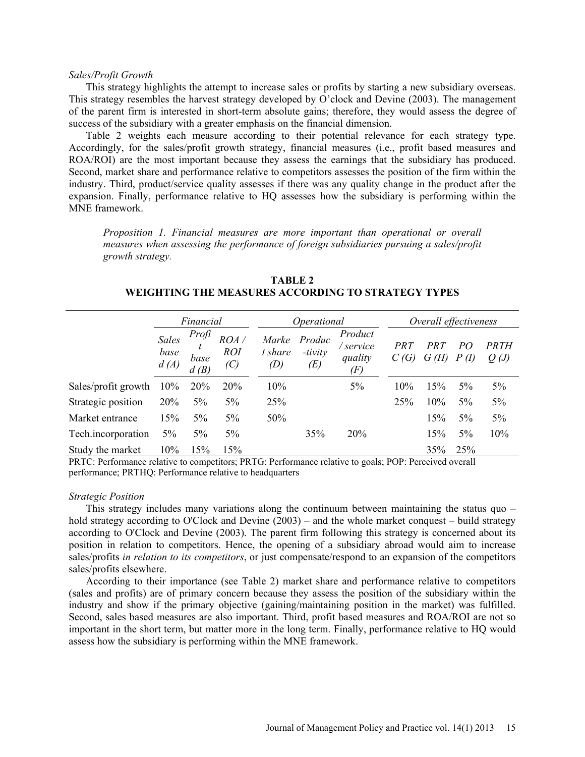#### *Sales/Profit Growth*

This strategy highlights the attempt to increase sales or profits by starting a new subsidiary overseas. This strategy resembles the harvest strategy developed by O'clock and Devine (2003). The management of the parent firm is interested in short-term absolute gains; therefore, they would assess the degree of success of the subsidiary with a greater emphasis on the financial dimension.

Table 2 weights each measure according to their potential relevance for each strategy type. Accordingly, for the sales/profit growth strategy, financial measures (i.e., profit based measures and ROA/ROI) are the most important because they assess the earnings that the subsidiary has produced. Second, market share and performance relative to competitors assesses the position of the firm within the industry. Third, product/service quality assesses if there was any quality change in the product after the expansion. Finally, performance relative to HQ assesses how the subsidiary is performing within the MNE framework.

*Proposition 1. Financial measures are more important than operational or overall measures when assessing the performance of foreign subsidiaries pursuing a sales/profit growth strategy.* 

|                     | Financial                    |                       |                            | <i>Operational</i>      |                          |                                        | Overall effectiveness |              |          |                     |
|---------------------|------------------------------|-----------------------|----------------------------|-------------------------|--------------------------|----------------------------------------|-----------------------|--------------|----------|---------------------|
|                     | <b>Sales</b><br>base<br>d(A) | Profi<br>base<br>d(B) | ROA /<br><b>ROI</b><br>(C) | Marke<br>t share<br>(D) | Produc<br>-tivity<br>(E) | Product<br>' service<br>quality<br>(F) | <i>PRT</i><br>C(G)    | PR 1<br>G(H) | PΟ<br>P( | <i>PRTH</i><br>Q(J) |
| Sales/profit growth | 10%                          | <b>20%</b>            | <b>20%</b>                 | 10%                     |                          | 5%                                     | 10%                   | 15%          | $5\%$    | $5\%$               |
| Strategic position  | 20%                          | $5\%$                 | 5%                         | 25%                     |                          |                                        | 25%                   | 10%          | 5%       | 5%                  |
| Market entrance     | 15%                          | 5%                    | $5\%$                      | 50%                     |                          |                                        |                       | 15%          | $5\%$    | 5%                  |
| Tech.incorporation  | $5\%$                        | $5\%$                 | 5%                         |                         | 35%                      | 20%                                    |                       | 15%          | $5\%$    | 10%                 |
| Study the market    | 10%                          | 15%                   | 15%                        |                         |                          |                                        |                       | 35%          | 25%      |                     |

**TABLE 2 WEIGHTING THE MEASURES ACCORDING TO STRATEGY TYPES** 

PRTC: Performance relative to competitors; PRTG: Performance relative to goals; POP: Perceived overall performance; PRTHQ: Performance relative to headquarters

## *Strategic Position*

This strategy includes many variations along the continuum between maintaining the status quo – hold strategy according to O'Clock and Devine (2003) – and the whole market conquest – build strategy according to O'Clock and Devine (2003). The parent firm following this strategy is concerned about its position in relation to competitors. Hence, the opening of a subsidiary abroad would aim to increase sales/profits *in relation to its competitors*, or just compensate/respond to an expansion of the competitors sales/profits elsewhere.

According to their importance (see Table 2) market share and performance relative to competitors (sales and profits) are of primary concern because they assess the position of the subsidiary within the industry and show if the primary objective (gaining/maintaining position in the market) was fulfilled. Second, sales based measures are also important. Third, profit based measures and ROA/ROI are not so important in the short term, but matter more in the long term. Finally, performance relative to HQ would assess how the subsidiary is performing within the MNE framework.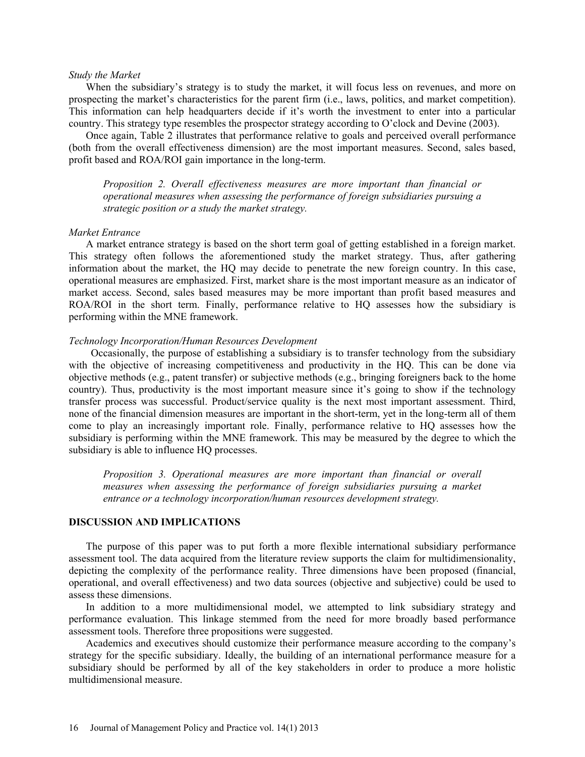## *Study the Market*

When the subsidiary's strategy is to study the market, it will focus less on revenues, and more on prospecting the market's characteristics for the parent firm (i.e., laws, politics, and market competition). This information can help headquarters decide if it's worth the investment to enter into a particular country. This strategy type resembles the prospector strategy according to O'clock and Devine (2003).

Once again, Table 2 illustrates that performance relative to goals and perceived overall performance (both from the overall effectiveness dimension) are the most important measures. Second, sales based, profit based and ROA/ROI gain importance in the long-term.

*Proposition 2. Overall effectiveness measures are more important than financial or operational measures when assessing the performance of foreign subsidiaries pursuing a strategic position or a study the market strategy.* 

#### *Market Entrance*

A market entrance strategy is based on the short term goal of getting established in a foreign market. This strategy often follows the aforementioned study the market strategy. Thus, after gathering information about the market, the HQ may decide to penetrate the new foreign country. In this case, operational measures are emphasized. First, market share is the most important measure as an indicator of market access. Second, sales based measures may be more important than profit based measures and ROA/ROI in the short term. Finally, performance relative to HQ assesses how the subsidiary is performing within the MNE framework.

# *Technology Incorporation/Human Resources Development*

Occasionally, the purpose of establishing a subsidiary is to transfer technology from the subsidiary with the objective of increasing competitiveness and productivity in the HQ. This can be done via objective methods (e.g., patent transfer) or subjective methods (e.g., bringing foreigners back to the home country). Thus, productivity is the most important measure since it's going to show if the technology transfer process was successful. Product/service quality is the next most important assessment. Third, none of the financial dimension measures are important in the short-term, yet in the long-term all of them come to play an increasingly important role. Finally, performance relative to HQ assesses how the subsidiary is performing within the MNE framework. This may be measured by the degree to which the subsidiary is able to influence HQ processes.

*Proposition 3. Operational measures are more important than financial or overall measures when assessing the performance of foreign subsidiaries pursuing a market entrance or a technology incorporation/human resources development strategy.* 

# **DISCUSSION AND IMPLICATIONS**

The purpose of this paper was to put forth a more flexible international subsidiary performance assessment tool. The data acquired from the literature review supports the claim for multidimensionality, depicting the complexity of the performance reality. Three dimensions have been proposed (financial, operational, and overall effectiveness) and two data sources (objective and subjective) could be used to assess these dimensions.

In addition to a more multidimensional model, we attempted to link subsidiary strategy and performance evaluation. This linkage stemmed from the need for more broadly based performance assessment tools. Therefore three propositions were suggested.

Academics and executives should customize their performance measure according to the company's strategy for the specific subsidiary. Ideally, the building of an international performance measure for a subsidiary should be performed by all of the key stakeholders in order to produce a more holistic multidimensional measure.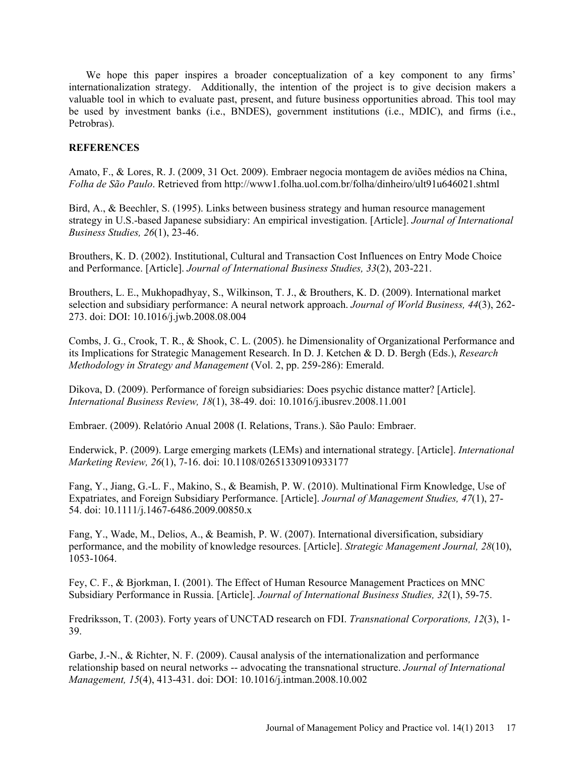We hope this paper inspires a broader conceptualization of a key component to any firms' internationalization strategy. Additionally, the intention of the project is to give decision makers a valuable tool in which to evaluate past, present, and future business opportunities abroad. This tool may be used by investment banks (i.e., BNDES), government institutions (i.e., MDIC), and firms (i.e., Petrobras).

# **REFERENCES**

Amato, F., & Lores, R. J. (2009, 31 Oct. 2009). Embraer negocia montagem de aviões médios na China, *Folha de São Paulo*. Retrieved from http://www1.folha.uol.com.br/folha/dinheiro/ult91u646021.shtml

Bird, A., & Beechler, S. (1995). Links between business strategy and human resource management strategy in U.S.-based Japanese subsidiary: An empirical investigation. [Article]. *Journal of International Business Studies, 26*(1), 23-46.

Brouthers, K. D. (2002). Institutional, Cultural and Transaction Cost Influences on Entry Mode Choice and Performance. [Article]. *Journal of International Business Studies, 33*(2), 203-221.

Brouthers, L. E., Mukhopadhyay, S., Wilkinson, T. J., & Brouthers, K. D. (2009). International market selection and subsidiary performance: A neural network approach. *Journal of World Business, 44*(3), 262- 273. doi: DOI: 10.1016/j.jwb.2008.08.004

Combs, J. G., Crook, T. R., & Shook, C. L. (2005). he Dimensionality of Organizational Performance and its Implications for Strategic Management Research. In D. J. Ketchen & D. D. Bergh (Eds.), *Research Methodology in Strategy and Management* (Vol. 2, pp. 259-286): Emerald.

Dikova, D. (2009). Performance of foreign subsidiaries: Does psychic distance matter? [Article]. *International Business Review, 18*(1), 38-49. doi: 10.1016/j.ibusrev.2008.11.001

Embraer. (2009). Relatório Anual 2008 (I. Relations, Trans.). São Paulo: Embraer.

Enderwick, P. (2009). Large emerging markets (LEMs) and international strategy. [Article]. *International Marketing Review, 26*(1), 7-16. doi: 10.1108/02651330910933177

Fang, Y., Jiang, G.-L. F., Makino, S., & Beamish, P. W. (2010). Multinational Firm Knowledge, Use of Expatriates, and Foreign Subsidiary Performance. [Article]. *Journal of Management Studies, 47*(1), 27- 54. doi: 10.1111/j.1467-6486.2009.00850.x

Fang, Y., Wade, M., Delios, A., & Beamish, P. W. (2007). International diversification, subsidiary performance, and the mobility of knowledge resources. [Article]. *Strategic Management Journal, 28*(10), 1053-1064.

Fey, C. F., & Bjorkman, I. (2001). The Effect of Human Resource Management Practices on MNC Subsidiary Performance in Russia. [Article]. *Journal of International Business Studies, 32*(1), 59-75.

Fredriksson, T. (2003). Forty years of UNCTAD research on FDI. *Transnational Corporations, 12*(3), 1- 39.

Garbe, J.-N., & Richter, N. F. (2009). Causal analysis of the internationalization and performance relationship based on neural networks -- advocating the transnational structure. *Journal of International Management, 15*(4), 413-431. doi: DOI: 10.1016/j.intman.2008.10.002